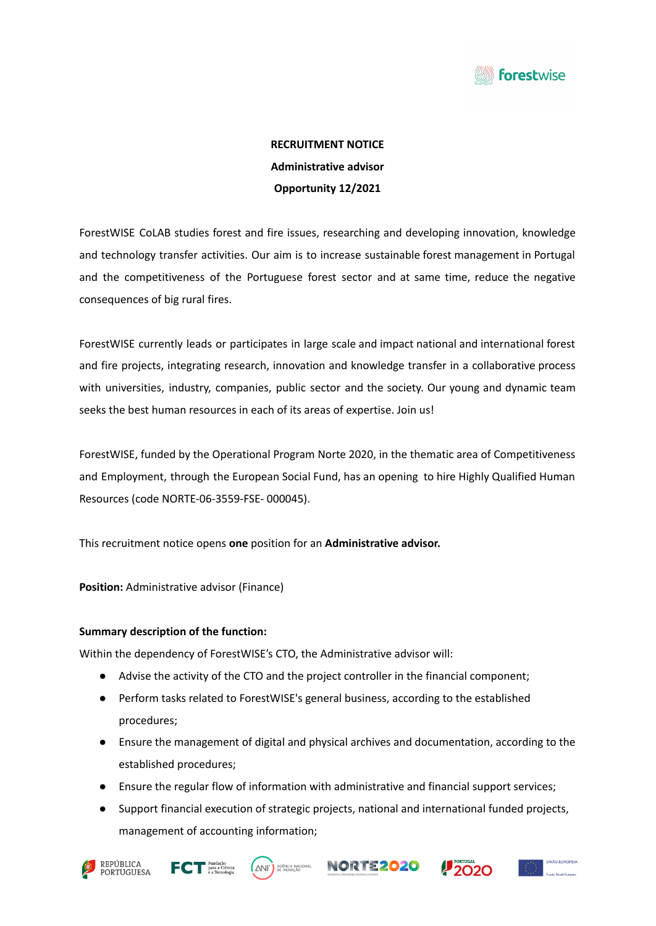

# **RECRUITMENT NOTICE Administrative advisor Opportunity 12/2021**

ForestWISE CoLAB studies forest and fire issues, researching and developing innovation, knowledge and technology transfer activities. Our aim is to increase sustainable forest management in Portugal and the competitiveness of the Portuguese forest sector and at same time, reduce the negative consequences of big rural fires.

ForestWISE currently leads or participates in large scale and impact national and international forest and fire projects, integrating research, innovation and knowledge transfer in a collaborative process with universities, industry, companies, public sector and the society. Our young and dynamic team seeks the best human resources in each of its areas of expertise. Join us!

ForestWISE, funded by the Operational Program Norte 2020, in the thematic area of Competitiveness and Employment, through the European Social Fund, has an opening to hire Highly Qualified Human Resources (code NORTE-06-3559-FSE- 000045).

This recruitment notice opens **one** position for an **Administrative advisor.**

**Position:** Administrative advisor (Finance)

# **Summary description of the function:**

Within the dependency of ForestWISE's CTO, the Administrative advisor will:

- Advise the activity of the CTO and the project controller in the financial component;
- Perform tasks related to ForestWISE's general business, according to the established procedures;
- Ensure the management of digital and physical archives and documentation, according to the established procedures;
- Ensure the regular flow of information with administrative and financial support services;
- Support financial execution of strategic projects, national and international funded projects, management of accounting information;









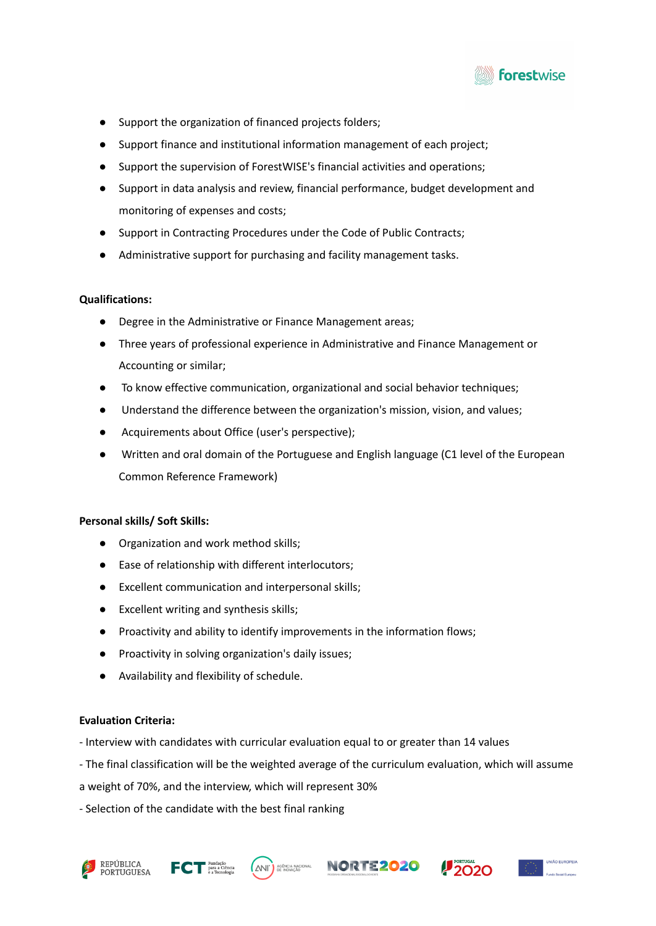

- Support the organization of financed projects folders;
- Support finance and institutional information management of each project;
- Support the supervision of ForestWISE's financial activities and operations;
- Support in data analysis and review, financial performance, budget development and monitoring of expenses and costs;
- Support in Contracting Procedures under the Code of Public Contracts;
- Administrative support for purchasing and facility management tasks.

# **Qualifications:**

- Degree in the Administrative or Finance Management areas;
- Three years of professional experience in Administrative and Finance Management or Accounting or similar;
- To know effective communication, organizational and social behavior techniques;
- Understand the difference between the organization's mission, vision, and values;
- Acquirements about Office (user's perspective);
- Written and oral domain of the Portuguese and English language (C1 level of the European Common Reference Framework)

# **Personal skills/ Soft Skills:**

- Organization and work method skills;
- Ease of relationship with different interlocutors;
- Excellent communication and interpersonal skills;
- Excellent writing and synthesis skills;
- Proactivity and ability to identify improvements in the information flows;
- Proactivity in solving organization's daily issues;
- Availability and flexibility of schedule.

# **Evaluation Criteria:**

- Interview with candidates with curricular evaluation equal to or greater than 14 values
- The final classification will be the weighted average of the curriculum evaluation, which will assume
- a weight of 70%, and the interview, which will represent 30%
- Selection of the candidate with the best final ranking